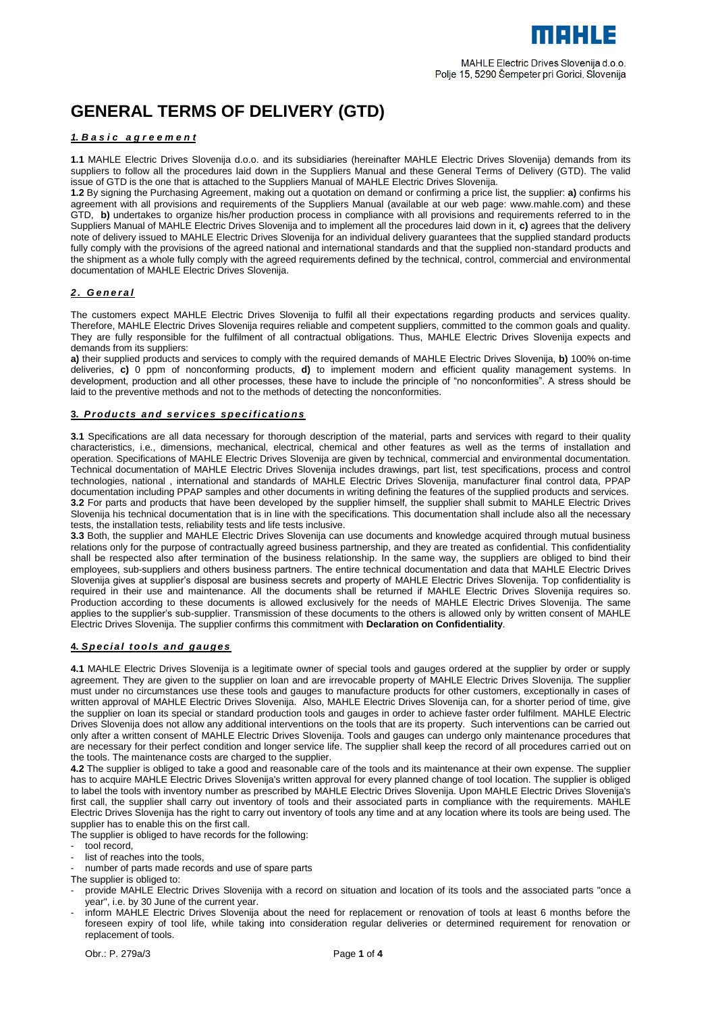# **GENERAL TERMS OF DELIVERY (GTD)**

## *1. B a s i c a g r e e m e n t*

**1.1** MAHLE Electric Drives Slovenija d.o.o. and its subsidiaries (hereinafter MAHLE Electric Drives Slovenija) demands from its suppliers to follow all the procedures laid down in the Suppliers Manual and these General Terms of Delivery (GTD). The valid issue of GTD is the one that is attached to the Suppliers Manual of MAHLE Electric Drives Slovenija.

**1.2** By signing the Purchasing Agreement, making out a quotation on demand or confirming a price list, the supplier: **a)** confirms his agreement with all provisions and requirements of the Suppliers Manual (available at our web page: www.mahle.com) and these GTD, **b)** undertakes to organize his/her production process in compliance with all provisions and requirements referred to in the Suppliers Manual of MAHLE Electric Drives Slovenija and to implement all the procedures laid down in it, **c)** agrees that the delivery note of delivery issued to MAHLE Electric Drives Slovenija for an individual delivery guarantees that the supplied standard products fully comply with the provisions of the agreed national and international standards and that the supplied non-standard products and the shipment as a whole fully comply with the agreed requirements defined by the technical, control, commercial and environmental documentation of MAHLE Electric Drives Slovenija.

## *2 . G e n e r a l*

The customers expect MAHLE Electric Drives Slovenija to fulfil all their expectations regarding products and services quality. Therefore, MAHLE Electric Drives Slovenija requires reliable and competent suppliers, committed to the common goals and quality. They are fully responsible for the fulfilment of all contractual obligations. Thus, MAHLE Electric Drives Slovenija expects and demands from its suppliers:

**a)** their supplied products and services to comply with the required demands of MAHLE Electric Drives Slovenija, **b)** 100% on-time deliveries, **c)** 0 ppm of nonconforming products, **d)** to implement modern and efficient quality management systems. In development, production and all other processes, these have to include the principle of "no nonconformities". A stress should be laid to the preventive methods and not to the methods of detecting the nonconformities.

## **3.** *P r o du c t s a n d s e r v i c e s s p e c i f i c a t i o n s*

**3.1** Specifications are all data necessary for thorough description of the material, parts and services with regard to their quality characteristics, i.e., dimensions, mechanical, electrical, chemical and other features as well as the terms of installation and operation. Specifications of MAHLE Electric Drives Slovenija are given by technical, commercial and environmental documentation. Technical documentation of MAHLE Electric Drives Slovenija includes drawings, part list, test specifications, process and control technologies, national , international and standards of MAHLE Electric Drives Slovenija, manufacturer final control data, PPAP documentation including PPAP samples and other documents in writing defining the features of the supplied products and services. **3.2** For parts and products that have been developed by the supplier himself, the supplier shall submit to MAHLE Electric Drives Slovenija his technical documentation that is in line with the specifications. This documentation shall include also all the necessary tests, the installation tests, reliability tests and life tests inclusive.

**3.3** Both, the supplier and MAHLE Electric Drives Slovenija can use documents and knowledge acquired through mutual business relations only for the purpose of contractually agreed business partnership, and they are treated as confidential. This confidentiality shall be respected also after termination of the business relationship. In the same way, the suppliers are obliged to bind their employees, sub-suppliers and others business partners. The entire technical documentation and data that MAHLE Electric Drives Slovenija gives at supplier's disposal are business secrets and property of MAHLE Electric Drives Slovenija. Top confidentiality is required in their use and maintenance. All the documents shall be returned if MAHLE Electric Drives Slovenija requires so. Production according to these documents is allowed exclusively for the needs of MAHLE Electric Drives Slovenija. The same applies to the supplier's sub-supplier. Transmission of these documents to the others is allowed only by written consent of MAHLE Electric Drives Slovenija. The supplier confirms this commitment with **Declaration on Confidentiality**.

## **4.** *Sp e c i a l t o o l s a nd g a uge s*

**4.1** MAHLE Electric Drives Slovenija is a legitimate owner of special tools and gauges ordered at the supplier by order or supply agreement. They are given to the supplier on loan and are irrevocable property of MAHLE Electric Drives Slovenija. The supplier must under no circumstances use these tools and gauges to manufacture products for other customers, exceptionally in cases of written approval of MAHLE Electric Drives Slovenija. Also, MAHLE Electric Drives Slovenija can, for a shorter period of time, give the supplier on loan its special or standard production tools and gauges in order to achieve faster order fulfilment. MAHLE Electric Drives Slovenija does not allow any additional interventions on the tools that are its property. Such interventions can be carried out only after a written consent of MAHLE Electric Drives Slovenija. Tools and gauges can undergo only maintenance procedures that are necessary for their perfect condition and longer service life. The supplier shall keep the record of all procedures carried out on the tools. The maintenance costs are charged to the supplier.

**4.2** The supplier is obliged to take a good and reasonable care of the tools and its maintenance at their own expense. The supplier has to acquire MAHLE Electric Drives Slovenija's written approval for every planned change of tool location. The supplier is obliged to label the tools with inventory number as prescribed by MAHLE Electric Drives Slovenija. Upon MAHLE Electric Drives Slovenija's first call, the supplier shall carry out inventory of tools and their associated parts in compliance with the requirements. MAHLE Electric Drives Slovenija has the right to carry out inventory of tools any time and at any location where its tools are being used. The supplier has to enable this on the first call.

The supplier is obliged to have records for the following:

- tool record.
- list of reaches into the tools,
- number of parts made records and use of spare parts

The supplier is obliged to:

- provide MAHLE Electric Drives Slovenija with a record on situation and location of its tools and the associated parts "once a year", i.e. by 30 June of the current year.
- inform MAHLE Electric Drives Slovenija about the need for replacement or renovation of tools at least 6 months before the foreseen expiry of tool life, while taking into consideration regular deliveries or determined requirement for renovation or replacement of tools.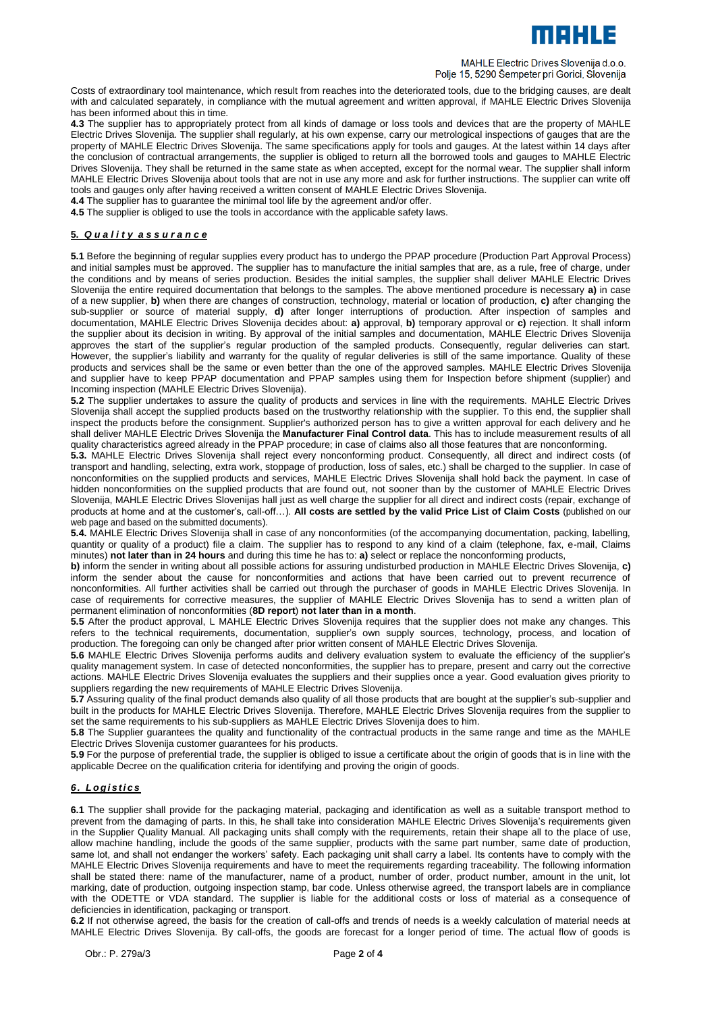

#### MAHLE Electric Drives Slovenija d.o.o. Polje 15, 5290 Šempeter pri Gorici, Slovenija

Costs of extraordinary tool maintenance, which result from reaches into the deteriorated tools, due to the bridging causes, are dealt with and calculated separately, in compliance with the mutual agreement and written approval, if MAHLE Electric Drives Slovenija has been informed about this in time.

**4.3** The supplier has to appropriately protect from all kinds of damage or loss tools and devices that are the property of MAHLE Electric Drives Slovenija. The supplier shall regularly, at his own expense, carry our metrological inspections of gauges that are the property of MAHLE Electric Drives Slovenija. The same specifications apply for tools and gauges. At the latest within 14 days after the conclusion of contractual arrangements, the supplier is obliged to return all the borrowed tools and gauges to MAHLE Electric Drives Slovenija. They shall be returned in the same state as when accepted, except for the normal wear. The supplier shall inform MAHLE Electric Drives Slovenija about tools that are not in use any more and ask for further instructions. The supplier can write off tools and gauges only after having received a written consent of MAHLE Electric Drives Slovenija.

**4.4** The supplier has to guarantee the minimal tool life by the agreement and/or offer.

**4.5** The supplier is obliged to use the tools in accordance with the applicable safety laws.

# **5.** *Q u a l i t y a s s u r a n c e*

**5.1** Before the beginning of regular supplies every product has to undergo the PPAP procedure (Production Part Approval Process) and initial samples must be approved. The supplier has to manufacture the initial samples that are, as a rule, free of charge, under the conditions and by means of series production. Besides the initial samples, the supplier shall deliver MAHLE Electric Drives Slovenija the entire required documentation that belongs to the samples. The above mentioned procedure is necessary **a)** in case of a new supplier, **b)** when there are changes of construction, technology, material or location of production, **c)** after changing the sub-supplier or source of material supply, **d)** after longer interruptions of production. After inspection of samples and documentation, MAHLE Electric Drives Slovenija decides about: **a)** approval, **b)** temporary approval or **c)** rejection. It shall inform the supplier about its decision in writing. By approval of the initial samples and documentation, MAHLE Electric Drives Slovenija approves the start of the supplier's regular production of the sampled products. Consequently, regular deliveries can start. However, the supplier's liability and warranty for the quality of regular deliveries is still of the same importance. Quality of these products and services shall be the same or even better than the one of the approved samples. MAHLE Electric Drives Slovenija and supplier have to keep PPAP documentation and PPAP samples using them for Inspection before shipment (supplier) and Incoming inspection (MAHLE Electric Drives Slovenija).

**5.2** The supplier undertakes to assure the quality of products and services in line with the requirements. MAHLE Electric Drives Slovenija shall accept the supplied products based on the trustworthy relationship with the supplier. To this end, the supplier shall inspect the products before the consignment. Supplier's authorized person has to give a written approval for each delivery and he shall deliver MAHLE Electric Drives Slovenija the **Manufacturer Final Control data**. This has to include measurement results of all quality characteristics agreed already in the PPAP procedure; in case of claims also all those features that are nonconforming.

**5.3.** MAHLE Electric Drives Slovenija shall reject every nonconforming product. Consequently, all direct and indirect costs (of transport and handling, selecting, extra work, stoppage of production, loss of sales, etc.) shall be charged to the supplier. In case of nonconformities on the supplied products and services, MAHLE Electric Drives Slovenija shall hold back the payment. In case of hidden nonconformities on the supplied products that are found out, not sooner than by the customer of MAHLE Electric Drives Slovenija, MAHLE Electric Drives Slovenijas hall just as well charge the supplier for all direct and indirect costs (repair, exchange of products at home and at the customer's, call-off…). **All costs are settled by the valid Price List of Claim Costs** (published on our web page and based on the submitted documents).

**5.4.** MAHLE Electric Drives Slovenija shall in case of any nonconformities (of the accompanying documentation, packing, labelling, quantity or quality of a product) file a claim. The supplier has to respond to any kind of a claim (telephone, fax, e-mail, Claims minutes) **not later than in 24 hours** and during this time he has to: **a)** select or replace the nonconforming products,

**b**) inform the sender in writing about all possible actions for assuring undisturbed production in MAHLE Electric Drives Slovenija, c) inform the sender about the cause for nonconformities and actions that have been carried out to prevent recurrence of nonconformities. All further activities shall be carried out through the purchaser of goods in MAHLE Electric Drives Slovenija. In case of requirements for corrective measures, the supplier of MAHLE Electric Drives Slovenija has to send a written plan of permanent elimination of nonconformities (**8D report**) **not later than in a month**.

**5.5** After the product approval, L MAHLE Electric Drives Slovenija requires that the supplier does not make any changes. This refers to the technical requirements, documentation, supplier's own supply sources, technology, process, and location of production. The foregoing can only be changed after prior written consent of MAHLE Electric Drives Slovenija.

**5.6** MAHLE Electric Drives Slovenija performs audits and delivery evaluation system to evaluate the efficiency of the supplier's quality management system. In case of detected nonconformities, the supplier has to prepare, present and carry out the corrective actions. MAHLE Electric Drives Slovenija evaluates the suppliers and their supplies once a year. Good evaluation gives priority to suppliers regarding the new requirements of MAHLE Electric Drives Slovenija.

**5.7** Assuring quality of the final product demands also quality of all those products that are bought at the supplier's sub-supplier and built in the products for MAHLE Electric Drives Slovenija. Therefore, MAHLE Electric Drives Slovenija requires from the supplier to set the same requirements to his sub-suppliers as MAHLE Electric Drives Slovenija does to him.

**5.8** The Supplier guarantees the quality and functionality of the contractual products in the same range and time as the MAHLE Electric Drives Slovenija customer guarantees for his products.

**5.9** For the purpose of preferential trade, the supplier is obliged to issue a certificate about the origin of goods that is in line with the applicable Decree on the qualification criteria for identifying and proving the origin of goods.

# *6 . L og i s t i c s*

**6.1** The supplier shall provide for the packaging material, packaging and identification as well as a suitable transport method to prevent from the damaging of parts. In this, he shall take into consideration MAHLE Electric Drives Slovenija's requirements given in the Supplier Quality Manual. All packaging units shall comply with the requirements, retain their shape all to the place of use, allow machine handling, include the goods of the same supplier, products with the same part number, same date of production, same lot, and shall not endanger the workers' safety. Each packaging unit shall carry a label. Its contents have to comply with the MAHLE Electric Drives Slovenija requirements and have to meet the requirements regarding traceability. The following information shall be stated there: name of the manufacturer, name of a product, number of order, product number, amount in the unit, lot marking, date of production, outgoing inspection stamp, bar code. Unless otherwise agreed, the transport labels are in compliance with the ODETTE or VDA standard. The supplier is liable for the additional costs or loss of material as a consequence of deficiencies in identification, packaging or transport.

**6.2** If not otherwise agreed, the basis for the creation of call-offs and trends of needs is a weekly calculation of material needs at MAHLE Electric Drives Slovenija. By call-offs, the goods are forecast for a longer period of time. The actual flow of goods is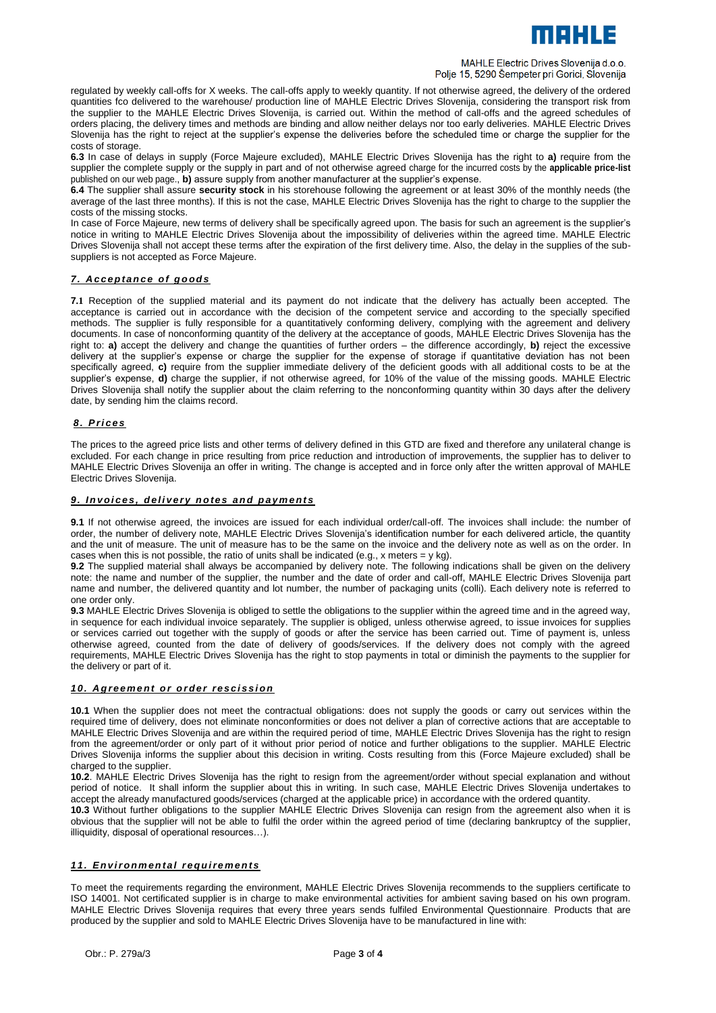

#### MAHLE Electric Drives Slovenija d.o.o. Polje 15, 5290 Šempeter pri Gorici, Slovenija

regulated by weekly call-offs for X weeks. The call-offs apply to weekly quantity. If not otherwise agreed, the delivery of the ordered quantities fco delivered to the warehouse/ production line of MAHLE Electric Drives Slovenija, considering the transport risk from the supplier to the MAHLE Electric Drives Slovenija, is carried out. Within the method of call-offs and the agreed schedules of orders placing, the delivery times and methods are binding and allow neither delays nor too early deliveries. MAHLE Electric Drives Slovenija has the right to reject at the supplier's expense the deliveries before the scheduled time or charge the supplier for the costs of storage.

**6.3** In case of delays in supply (Force Majeure excluded), MAHLE Electric Drives Slovenija has the right to **a)** require from the supplier the complete supply or the supply in part and of not otherwise agreed charge for the incurred costs by the **applicable price-list**  published on our web page., **b)** assure supply from another manufacturer at the supplier's expense.

**6.4** The supplier shall assure **security stock** in his storehouse following the agreement or at least 30% of the monthly needs (the average of the last three months). If this is not the case, MAHLE Electric Drives Slovenija has the right to charge to the supplier the costs of the missing stocks.

In case of Force Majeure, new terms of delivery shall be specifically agreed upon. The basis for such an agreement is the supplier's notice in writing to MAHLE Electric Drives Slovenija about the impossibility of deliveries within the agreed time. MAHLE Electric Drives Slovenija shall not accept these terms after the expiration of the first delivery time. Also, the delay in the supplies of the subsuppliers is not accepted as Force Majeure.

# *7 . A c c e p t a n c e o f g o od s*

**7.1** Reception of the supplied material and its payment do not indicate that the delivery has actually been accepted. The acceptance is carried out in accordance with the decision of the competent service and according to the specially specified methods. The supplier is fully responsible for a quantitatively conforming delivery, complying with the agreement and delivery documents. In case of nonconforming quantity of the delivery at the acceptance of goods, MAHLE Electric Drives Slovenija has the right to: **a)** accept the delivery and change the quantities of further orders – the difference accordingly, **b)** reject the excessive delivery at the supplier's expense or charge the supplier for the expense of storage if quantitative deviation has not been specifically agreed, **c)** require from the supplier immediate delivery of the deficient goods with all additional costs to be at the supplier's expense, **d)** charge the supplier, if not otherwise agreed, for 10% of the value of the missing goods. MAHLE Electric Drives Slovenija shall notify the supplier about the claim referring to the nonconforming quantity within 30 days after the delivery date, by sending him the claims record.

# *8 . P r i c e s*

The prices to the agreed price lists and other terms of delivery defined in this GTD are fixed and therefore any unilateral change is excluded. For each change in price resulting from price reduction and introduction of improvements, the supplier has to deliver to MAHLE Electric Drives Slovenija an offer in writing. The change is accepted and in force only after the written approval of MAHLE Electric Drives Slovenija.

# 9. Invoices, delivery notes and payments

**9.1** If not otherwise agreed, the invoices are issued for each individual order/call-off. The invoices shall include: the number of order, the number of delivery note, MAHLE Electric Drives Slovenija's identification number for each delivered article, the quantity and the unit of measure. The unit of measure has to be the same on the invoice and the delivery note as well as on the order. In cases when this is not possible, the ratio of units shall be indicated (e.g., x meters =  $y$  kg).

**9.2** The supplied material shall always be accompanied by delivery note. The following indications shall be given on the delivery note: the name and number of the supplier, the number and the date of order and call-off, MAHLE Electric Drives Slovenija part name and number, the delivered quantity and lot number, the number of packaging units (colli). Each delivery note is referred to one order only.

**9.3** MAHLE Electric Drives Slovenija is obliged to settle the obligations to the supplier within the agreed time and in the agreed way, in sequence for each individual invoice separately. The supplier is obliged, unless otherwise agreed, to issue invoices for supplies or services carried out together with the supply of goods or after the service has been carried out. Time of payment is, unless otherwise agreed, counted from the date of delivery of goods/services. If the delivery does not comply with the agreed requirements, MAHLE Electric Drives Slovenija has the right to stop payments in total or diminish the payments to the supplier for the delivery or part of it.

## 10. Agreement or order rescission

**10.1** When the supplier does not meet the contractual obligations: does not supply the goods or carry out services within the required time of delivery, does not eliminate nonconformities or does not deliver a plan of corrective actions that are acceptable to MAHLE Electric Drives Slovenija and are within the required period of time, MAHLE Electric Drives Slovenija has the right to resign from the agreement/order or only part of it without prior period of notice and further obligations to the supplier. MAHLE Electric Drives Slovenija informs the supplier about this decision in writing. Costs resulting from this (Force Majeure excluded) shall be charged to the supplier.

**10.2**. MAHLE Electric Drives Slovenija has the right to resign from the agreement/order without special explanation and without period of notice. It shall inform the supplier about this in writing. In such case, MAHLE Electric Drives Slovenija undertakes to accept the already manufactured goods/services (charged at the applicable price) in accordance with the ordered quantity.

**10.3** Without further obligations to the supplier MAHLE Electric Drives Slovenija can resign from the agreement also when it is obvious that the supplier will not be able to fulfil the order within the agreed period of time (declaring bankruptcy of the supplier, illiquidity, disposal of operational resources…).

# *11. En v i r on m en t a l r e q u i re m e n t s*

To meet the requirements regarding the environment, MAHLE Electric Drives Slovenija recommends to the suppliers certificate to ISO 14001. Not certificated supplier is in charge to make environmental activities for ambient saving based on his own program. MAHLE Electric Drives Slovenija requires that every three years sends fulfiled Environmental Questionnaire. Products that are produced by the supplier and sold to MAHLE Electric Drives Slovenija have to be manufactured in line with: